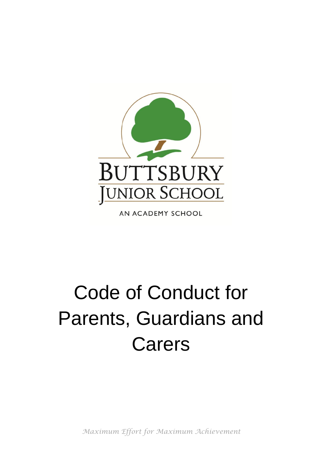

AN ACADEMY SCHOOL

# Code of Conduct for Parents, Guardians and Carers

*Maximum Effort for Maximum Achievement*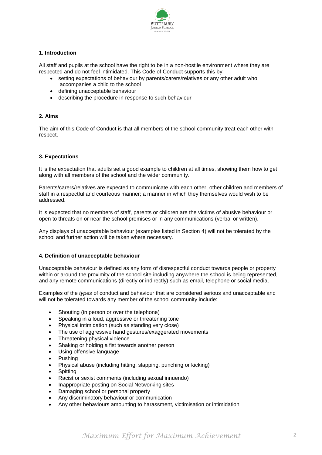

# **1. Introduction**

All staff and pupils at the school have the right to be in a non-hostile environment where they are respected and do not feel intimidated. This Code of Conduct supports this by:

- setting expectations of behaviour by parents/carers/relatives or any other adult who accompanies a child to the school
- defining unacceptable behaviour
- describing the procedure in response to such behaviour

## **2. Aims**

The aim of this Code of Conduct is that all members of the school community treat each other with respect.

## **3. Expectations**

It is the expectation that adults set a good example to children at all times, showing them how to get along with all members of the school and the wider community.

Parents/carers/relatives are expected to communicate with each other, other children and members of staff in a respectful and courteous manner; a manner in which they themselves would wish to be addressed.

It is expected that no members of staff, parents or children are the victims of abusive behaviour or open to threats on or near the school premises or in any communications (verbal or written).

Any displays of unacceptable behaviour (examples listed in Section 4) will not be tolerated by the school and further action will be taken where necessary.

#### **4. Definition of unacceptable behaviour**

Unacceptable behaviour is defined as any form of disrespectful conduct towards people or property within or around the proximity of the school site including anywhere the school is being represented, and any remote communications (directly or indirectly) such as email, telephone or social media.

Examples of the *types* of conduct and behaviour that are considered serious and unacceptable and will not be tolerated towards any member of the school community include:

- Shouting (in person or over the telephone)
- Speaking in a loud, aggressive or threatening tone
- Physical intimidation (such as standing very close)
- The use of aggressive hand gestures/exaggerated movements
- Threatening physical violence
- Shaking or holding a fist towards another person
- Using offensive language
- Pushing
- Physical abuse (including hitting, slapping, punching or kicking)
- **Spitting**
- Racist or sexist comments (including sexual innuendo)
- Inappropriate posting on Social Networking sites
- Damaging school or personal property
- Any discriminatory behaviour or communication
- Any other behaviours amounting to harassment, victimisation or intimidation